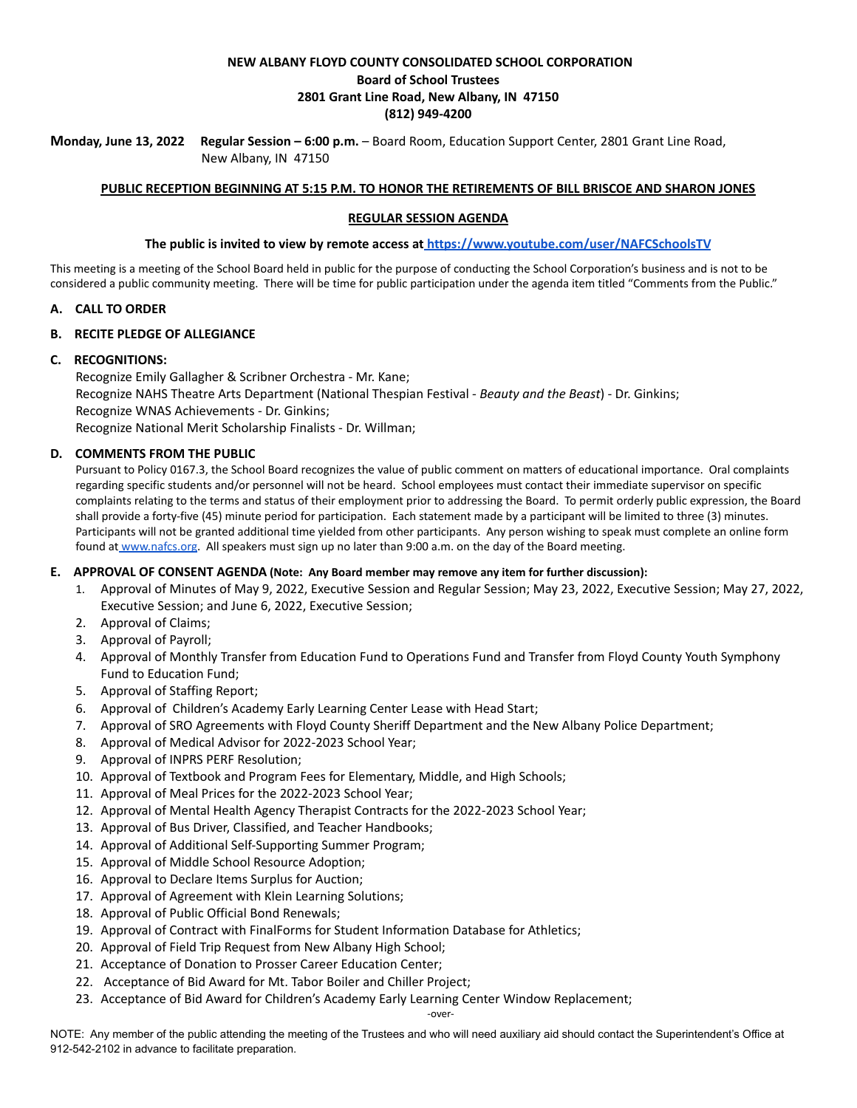## **NEW ALBANY FLOYD COUNTY CONSOLIDATED SCHOOL CORPORATION Board of School Trustees 2801 Grant Line Road, New Albany, IN 47150 (812) 949-4200**

**Monday, June 13, 2022 Regular Session – 6:00 p.m.** – Board Room, Education Support Center, 2801 Grant Line Road, New Albany, IN 47150

### **PUBLIC RECEPTION BEGINNING AT 5:15 P.M. TO HONOR THE RETIREMENTS OF BILL BRISCOE AND SHARON JONES**

### **REGULAR SESSION AGENDA**

#### **The public is invited to view by remote access at <https://www.youtube.com/user/NAFCSchoolsTV>**

This meeting is a meeting of the School Board held in public for the purpose of conducting the School Corporation's business and is not to be considered a public community meeting. There will be time for public participation under the agenda item titled "Comments from the Public."

#### **A. CALL TO ORDER**

#### **B. RECITE PLEDGE OF ALLEGIANCE**

#### **C. RECOGNITIONS:**

Recognize Emily Gallagher & Scribner Orchestra - Mr. Kane; Recognize NAHS Theatre Arts Department (National Thespian Festival - *Beauty and the Beast*) - Dr. Ginkins; Recognize WNAS Achievements - Dr. Ginkins; Recognize National Merit Scholarship Finalists - Dr. Willman;

#### **D. COMMENTS FROM THE PUBLIC**

Pursuant to Policy 0167.3, the School Board recognizes the value of public comment on matters of educational importance. Oral complaints regarding specific students and/or personnel will not be heard. School employees must contact their immediate supervisor on specific complaints relating to the terms and status of their employment prior to addressing the Board. To permit orderly public expression, the Board shall provide a forty-five (45) minute period for participation. Each statement made by a participant will be limited to three (3) minutes. Participants will not be granted additional time yielded from other participants. Any person wishing to speak must complete an online form found at [www.nafcs.org.](http://www.nafcs.org/) All speakers must sign up no later than 9:00 a.m. on the day of the Board meeting.

#### **E. APPROVAL OF CONSENT AGENDA (Note: Any Board member may remove any item for further discussion):**

- 1. Approval of Minutes of May 9, 2022, Executive Session and Regular Session; May 23, 2022, Executive Session; May 27, 2022, Executive Session; and June 6, 2022, Executive Session;
- 2. Approval of Claims;
- 3. Approval of Payroll;
- 4. Approval of Monthly Transfer from Education Fund to Operations Fund and Transfer from Floyd County Youth Symphony Fund to Education Fund;
- 5. Approval of Staffing Report;
- 6. Approval of Children's Academy Early Learning Center Lease with Head Start;
- 7. Approval of SRO Agreements with Floyd County Sheriff Department and the New Albany Police Department;
- 8. Approval of Medical Advisor for 2022-2023 School Year;
- 9. Approval of INPRS PERF Resolution;
- 10. Approval of Textbook and Program Fees for Elementary, Middle, and High Schools;
- 11. Approval of Meal Prices for the 2022-2023 School Year;
- 12. Approval of Mental Health Agency Therapist Contracts for the 2022-2023 School Year;
- 13. Approval of Bus Driver, Classified, and Teacher Handbooks;
- 14. Approval of Additional Self-Supporting Summer Program;
- 15. Approval of Middle School Resource Adoption;
- 16. Approval to Declare Items Surplus for Auction;
- 17. Approval of Agreement with Klein Learning Solutions;
- 18. Approval of Public Official Bond Renewals;
- 19. Approval of Contract with FinalForms for Student Information Database for Athletics;
- 20. Approval of Field Trip Request from New Albany High School;
- 21. Acceptance of Donation to Prosser Career Education Center;
- 22. Acceptance of Bid Award for Mt. Tabor Boiler and Chiller Project;
- 23. Acceptance of Bid Award for Children's Academy Early Learning Center Window Replacement;

NOTE: Any member of the public attending the meeting of the Trustees and who will need auxiliary aid should contact the Superintendent's Office at 912-542-2102 in advance to facilitate preparation.